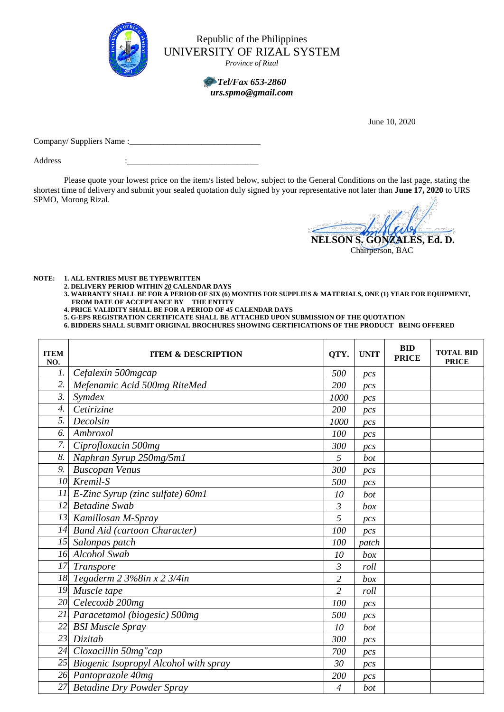

Republic of the Philippines UNIVERSITY OF RIZAL SYSTEM

*Province of Rizal*

## *Tel/Fax 653-2860 urs.spmo@gmail.com*

June 10, 2020

Company/ Suppliers Name :\_\_\_

Address

Please quote your lowest price on the item/s listed below, subject to the General Conditions on the last page, stating the shortest time of delivery and submit your sealed quotation duly signed by your representative not later than **June 17, 2020** to URS SPMO, Morong Rizal.

**NELSON S. GONZALES, Ed. D.**

Chairperson, BAC

**NOTE: 1. ALL ENTRIES MUST BE TYPEWRITTEN**

**2. DELIVERY PERIOD WITHIN** *20* **CALENDAR DAYS**

- **3. WARRANTY SHALL BE FOR A PERIOD OF SIX (6) MONTHS FOR SUPPLIES & MATERIALS, ONE (1) YEAR FOR EQUIPMENT, FROM DATE OF ACCEPTANCE BY THE ENTITY**
- **4. PRICE VALIDITY SHALL BE FOR A PERIOD OF** *45* **CALENDAR DAYS**
- **5. G-EPS REGISTRATION CERTIFICATE SHALL BE ATTACHED UPON SUBMISSION OF THE QUOTATION**

**6. BIDDERS SHALL SUBMIT ORIGINAL BROCHURES SHOWING CERTIFICATIONS OF THE PRODUCT BEING OFFERED**

| <b>ITEM</b><br>NO. | <b>ITEM &amp; DESCRIPTION</b>         | QTY.           | <b>UNIT</b>     | <b>BID</b><br><b>PRICE</b> | <b>TOTAL BID</b><br><b>PRICE</b> |
|--------------------|---------------------------------------|----------------|-----------------|----------------------------|----------------------------------|
| 1.                 | Cefalexin 500mgcap                    | 500            | pcs             |                            |                                  |
| 2.                 | Mefenamic Acid 500mg RiteMed          | 200            | pc <sub>S</sub> |                            |                                  |
| 3.                 | Symdex                                | 1000           | pcs             |                            |                                  |
| $\overline{4}$ .   | Cetirizine                            | 200            | pc <sub>S</sub> |                            |                                  |
| 5.                 | Decolsin                              | 1000           | pc <sub>S</sub> |                            |                                  |
| 6.                 | Ambroxol                              | 100            | pcs             |                            |                                  |
| 7.                 | Ciprofloxacin 500mg                   | 300            | pc <sub>S</sub> |                            |                                  |
| 8.                 | Naphran Syrup 250mg/5m1               | 5              | bot             |                            |                                  |
| 9.                 | <b>Buscopan Venus</b>                 | 300            | $_{DCS}$        |                            |                                  |
| 10.                | Kremil-S                              | 500            | pcs             |                            |                                  |
| 11.                | E-Zinc Syrup (zinc sulfate) 60ml      | 10             | bot             |                            |                                  |
|                    | 12. Betadine Swab                     | 3              | box             |                            |                                  |
|                    | 13. Kamillosan M-Spray                | 5              | pcs             |                            |                                  |
| 14.                | <b>Band Aid (cartoon Character)</b>   | 100            | pc <sub>S</sub> |                            |                                  |
| 15.                | Salonpas patch                        | 100            | patch           |                            |                                  |
|                    | 16. Alcohol Swab                      | 10             | box             |                            |                                  |
| 17.                | <b>Transpore</b>                      | 3              | roll            |                            |                                  |
|                    | 18. Tegaderm 2 3%8in x 2 3/4in        | $\overline{c}$ | box             |                            |                                  |
|                    | 19. Muscle tape                       | $\overline{2}$ | roll            |                            |                                  |
|                    | 20. Celecoxib 200mg                   | 100            | pc <sub>S</sub> |                            |                                  |
| 21.                | Paracetamol (biogesic) 500mg          | 500            | pc <sub>S</sub> |                            |                                  |
| 22.                | <b>BSI Muscle Spray</b>               | 10             | bot             |                            |                                  |
| 23.                | Dizitab                               | 300            | pcs             |                            |                                  |
| 24.                | Cloxacillin 50mg"cap                  | 700            | pc <sub>S</sub> |                            |                                  |
| 25.                | Biogenic Isopropyl Alcohol with spray | 30             | pcs             |                            |                                  |
|                    | 26. Pantoprazole 40mg                 | 200            | pcs             |                            |                                  |
|                    | 27 Betadine Dry Powder Spray          | 4              | bot             |                            |                                  |